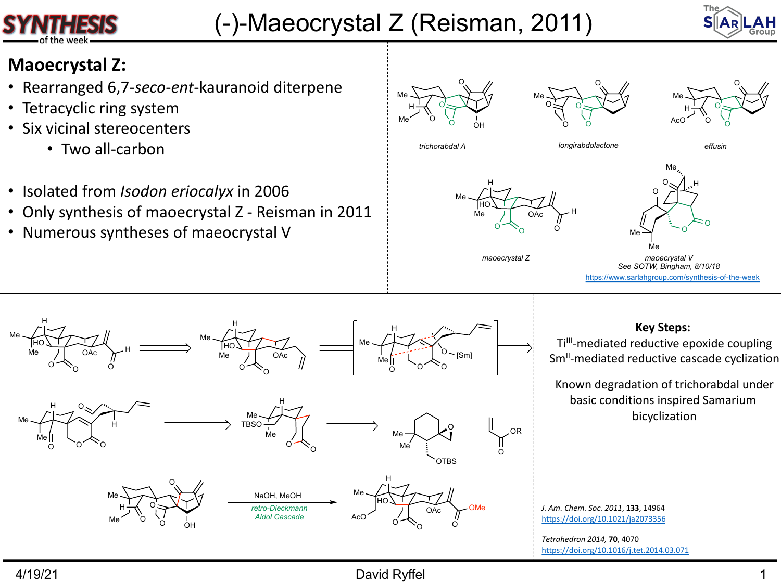## (-)-Maeocrystal Z (Reisman, 2011)

## **Maoecrystal Z:**

- Rearranged 6,7-*seco*-*ent*-kauranoid diterpene
- Tetracyclic ring system
- Six vicinal stereocenters
	- Two all-carbon
- Isolated from *Isodon eriocalyx* in 2006
- Only synthesis of maoecrystal Z Reisman in 2011
- Numerous syntheses of maeocrystal V





*trichorabdal A longirabdolactone effusin*







**Key S** Ti<sup>III</sup>-mediated reduct

Known degradation basic conditions in bicycli

*J. Am. Chem. Soc. 2011*, **133**, 14964 https://doi.org/10.1021/ja2073356

*Tetrahedron 2014,* **70**, 4070 https://doi.org/10.1016/j.tet.2014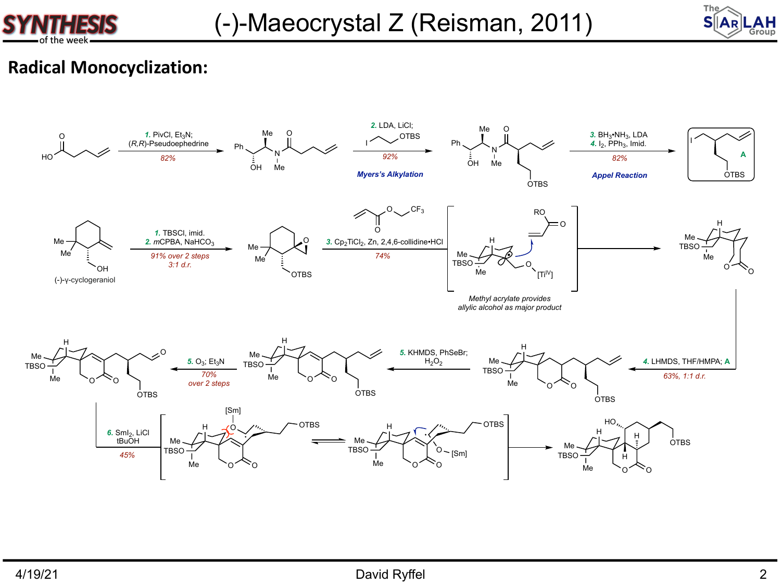



## **Radical Monocyclization:**